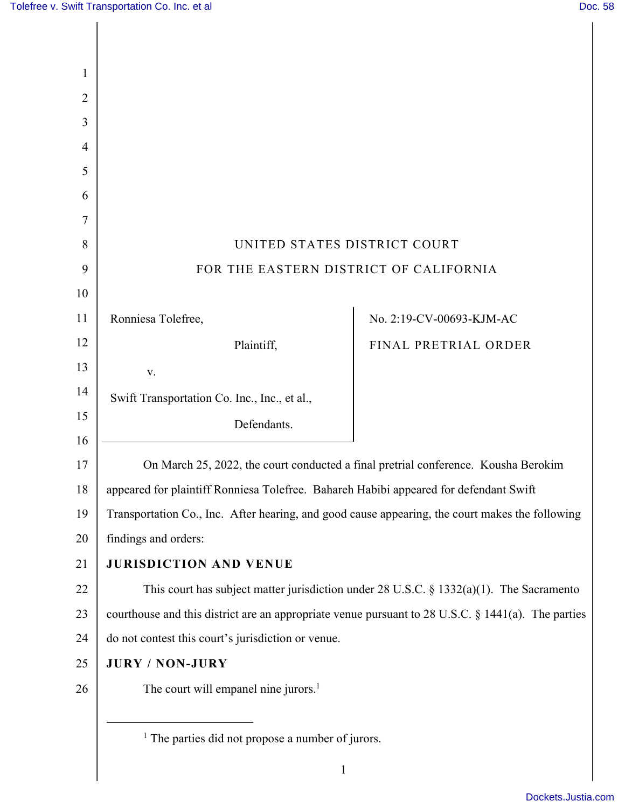| 1              |                                                                                                      |                                                                                            |
|----------------|------------------------------------------------------------------------------------------------------|--------------------------------------------------------------------------------------------|
| $\overline{2}$ |                                                                                                      |                                                                                            |
| 3              |                                                                                                      |                                                                                            |
| $\overline{4}$ |                                                                                                      |                                                                                            |
| 5              |                                                                                                      |                                                                                            |
| 6              |                                                                                                      |                                                                                            |
| 7              |                                                                                                      |                                                                                            |
| 8              | UNITED STATES DISTRICT COURT                                                                         |                                                                                            |
| 9              | FOR THE EASTERN DISTRICT OF CALIFORNIA                                                               |                                                                                            |
| 10             |                                                                                                      |                                                                                            |
| 11             | Ronniesa Tolefree,                                                                                   | No. 2:19-CV-00693-KJM-AC                                                                   |
| 12             | Plaintiff,                                                                                           | FINAL PRETRIAL ORDER                                                                       |
| 13             | V.                                                                                                   |                                                                                            |
| 14             | Swift Transportation Co. Inc., Inc., et al.,                                                         |                                                                                            |
| 15             | Defendants.                                                                                          |                                                                                            |
| 16             |                                                                                                      |                                                                                            |
| 17             |                                                                                                      | On March 25, 2022, the court conducted a final pretrial conference. Kousha Berokim         |
| 18             | appeared for plaintiff Ronniesa Tolefree. Bahareh Habibi appeared for defendant Swift                |                                                                                            |
| 19             | Transportation Co., Inc. After hearing, and good cause appearing, the court makes the following      |                                                                                            |
| 20             | findings and orders:                                                                                 |                                                                                            |
| 21             | <b>JURISDICTION AND VENUE</b>                                                                        |                                                                                            |
| 22             |                                                                                                      | This court has subject matter jurisdiction under 28 U.S.C. $\S$ 1332(a)(1). The Sacramento |
| 23             | courthouse and this district are an appropriate venue pursuant to $28$ U.S.C. § 1441(a). The parties |                                                                                            |
| 24             | do not contest this court's jurisdiction or venue.                                                   |                                                                                            |
| 25             | <b>JURY / NON-JURY</b>                                                                               |                                                                                            |
| 26             | The court will empanel nine jurors. <sup>1</sup>                                                     |                                                                                            |
|                |                                                                                                      |                                                                                            |
|                | $1$ The parties did not propose a number of jurors.                                                  |                                                                                            |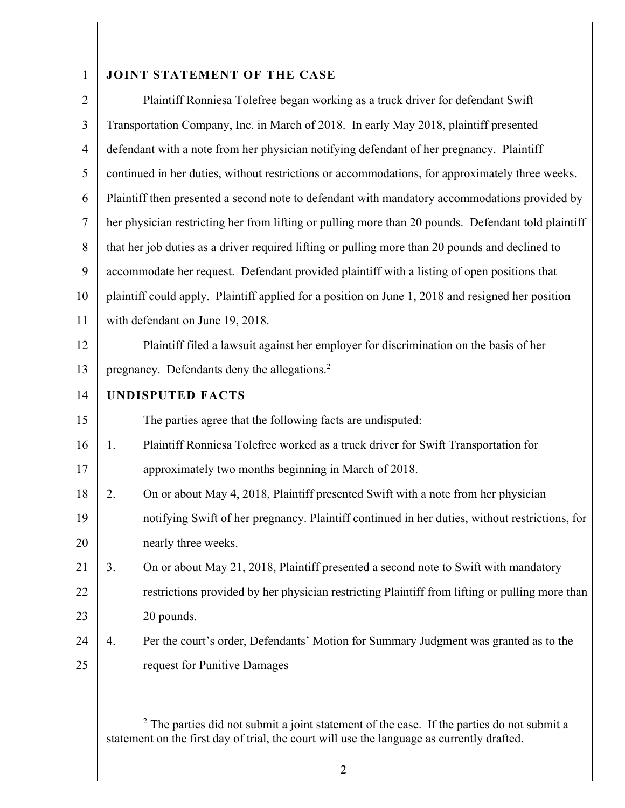## 1 **JOINT STATEMENT OF THE CASE**

| $\overline{2}$ | Plaintiff Ronniesa Tolefree began working as a truck driver for defendant Swift                     |
|----------------|-----------------------------------------------------------------------------------------------------|
| 3              | Transportation Company, Inc. in March of 2018. In early May 2018, plaintiff presented               |
| $\overline{4}$ | defendant with a note from her physician notifying defendant of her pregnancy. Plaintiff            |
| 5              | continued in her duties, without restrictions or accommodations, for approximately three weeks.     |
| 6              | Plaintiff then presented a second note to defendant with mandatory accommodations provided by       |
| $\tau$         | her physician restricting her from lifting or pulling more than 20 pounds. Defendant told plaintiff |
| 8              | that her job duties as a driver required lifting or pulling more than 20 pounds and declined to     |
| 9              | accommodate her request. Defendant provided plaintiff with a listing of open positions that         |
| 10             | plaintiff could apply. Plaintiff applied for a position on June 1, 2018 and resigned her position   |
| 11             | with defendant on June 19, 2018.                                                                    |
| 12             | Plaintiff filed a lawsuit against her employer for discrimination on the basis of her               |
| 13             | pregnancy. Defendants deny the allegations. <sup>2</sup>                                            |
| 14             | <b>UNDISPUTED FACTS</b>                                                                             |
| 15             | The parties agree that the following facts are undisputed:                                          |
| 16             | Plaintiff Ronniesa Tolefree worked as a truck driver for Swift Transportation for<br>1.             |
| 17             | approximately two months beginning in March of 2018.                                                |
| 18             | On or about May 4, 2018, Plaintiff presented Swift with a note from her physician<br>2.             |
| 19             | notifying Swift of her pregnancy. Plaintiff continued in her duties, without restrictions, for      |
| 20             | nearly three weeks.                                                                                 |
| 21             | 3.<br>On or about May 21, 2018, Plaintiff presented a second note to Swift with mandatory           |
| 22             | restrictions provided by her physician restricting Plaintiff from lifting or pulling more than      |
| 23             | 20 pounds.                                                                                          |
| 24             | Per the court's order, Defendants' Motion for Summary Judgment was granted as to the<br>4.          |
| 25             | request for Punitive Damages                                                                        |

 $2$  The parties did not submit a joint statement of the case. If the parties do not submit a statement on the first day of trial, the court will use the language as currently drafted.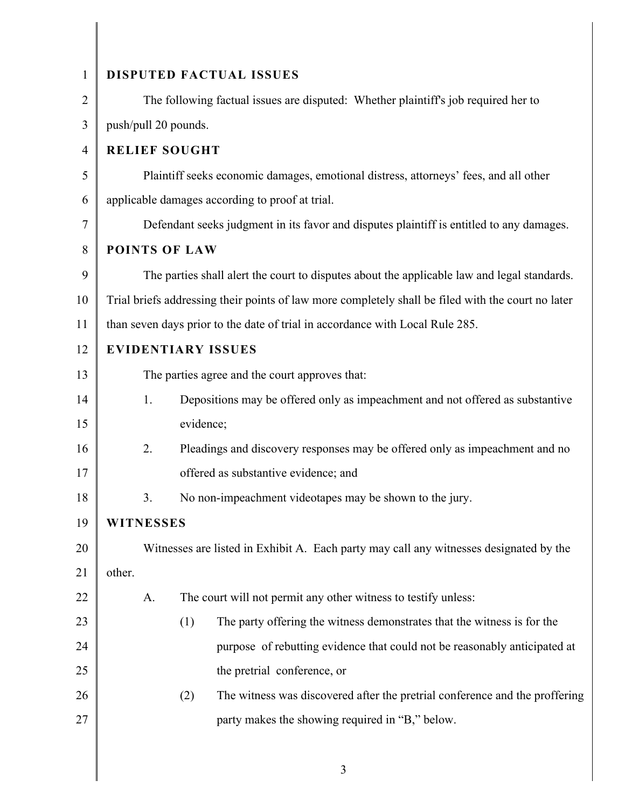| $\mathbf{1}$   | DISPUTED FACTUAL ISSUES                                                                            |  |
|----------------|----------------------------------------------------------------------------------------------------|--|
| 2              | The following factual issues are disputed: Whether plaintiff's job required her to                 |  |
| 3              | push/pull 20 pounds.                                                                               |  |
| $\overline{4}$ | <b>RELIEF SOUGHT</b>                                                                               |  |
| 5              | Plaintiff seeks economic damages, emotional distress, attorneys' fees, and all other               |  |
| 6              | applicable damages according to proof at trial.                                                    |  |
| 7              | Defendant seeks judgment in its favor and disputes plaintiff is entitled to any damages.           |  |
| 8              | <b>POINTS OF LAW</b>                                                                               |  |
| 9              | The parties shall alert the court to disputes about the applicable law and legal standards.        |  |
| 10             | Trial briefs addressing their points of law more completely shall be filed with the court no later |  |
| 11             | than seven days prior to the date of trial in accordance with Local Rule 285.                      |  |
| 12             | <b>EVIDENTIARY ISSUES</b>                                                                          |  |
| 13             | The parties agree and the court approves that:                                                     |  |
| 14             | Depositions may be offered only as impeachment and not offered as substantive<br>1.                |  |
| 15             | evidence;                                                                                          |  |
| 16             | 2.<br>Pleadings and discovery responses may be offered only as impeachment and no                  |  |
| 17             | offered as substantive evidence; and                                                               |  |
| 18             | No non-impeachment videotapes may be shown to the jury.<br>3.                                      |  |
| 19             | <b>WITNESSES</b>                                                                                   |  |
| 20             | Witnesses are listed in Exhibit A. Each party may call any witnesses designated by the             |  |
| 21             | other.                                                                                             |  |
| 22             | The court will not permit any other witness to testify unless:<br>A.                               |  |
| 23             | (1)<br>The party offering the witness demonstrates that the witness is for the                     |  |
| 24             | purpose of rebutting evidence that could not be reasonably anticipated at                          |  |
| 25             | the pretrial conference, or                                                                        |  |
| 26             | The witness was discovered after the pretrial conference and the proffering<br>(2)                 |  |
| 27             | party makes the showing required in "B," below.                                                    |  |

3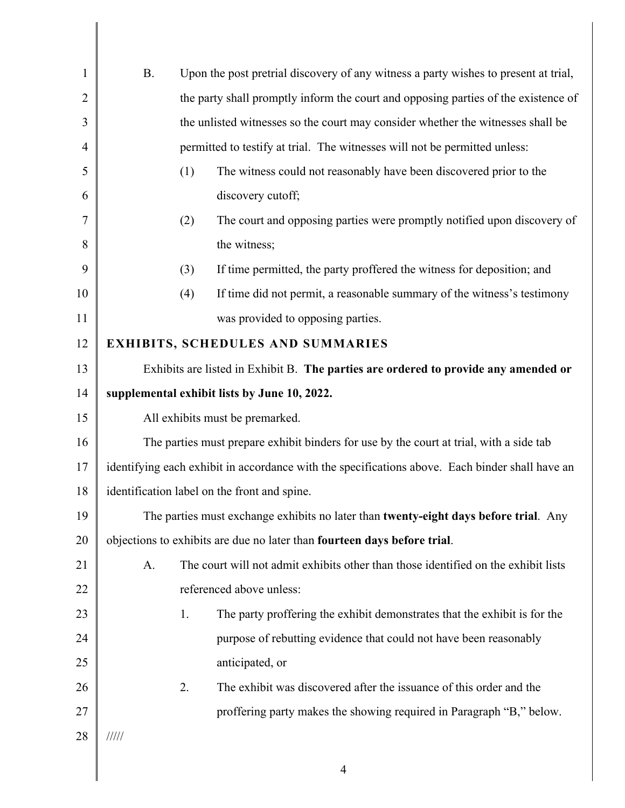| $\mathbf{1}$   | <b>B.</b>                                                                                       | Upon the post pretrial discovery of any witness a party wishes to present at trial,  |
|----------------|-------------------------------------------------------------------------------------------------|--------------------------------------------------------------------------------------|
| $\overline{2}$ |                                                                                                 | the party shall promptly inform the court and opposing parties of the existence of   |
| 3              |                                                                                                 | the unlisted witnesses so the court may consider whether the witnesses shall be      |
| $\overline{4}$ |                                                                                                 | permitted to testify at trial. The witnesses will not be permitted unless:           |
| 5              |                                                                                                 | (1)<br>The witness could not reasonably have been discovered prior to the            |
| 6              |                                                                                                 | discovery cutoff;                                                                    |
| 7              |                                                                                                 | The court and opposing parties were promptly notified upon discovery of<br>(2)       |
| 8              |                                                                                                 | the witness;                                                                         |
| 9              |                                                                                                 | (3)<br>If time permitted, the party proffered the witness for deposition; and        |
| 10             |                                                                                                 | If time did not permit, a reasonable summary of the witness's testimony<br>(4)       |
| 11             |                                                                                                 | was provided to opposing parties.                                                    |
| 12             | <b>EXHIBITS, SCHEDULES AND SUMMARIES</b>                                                        |                                                                                      |
| 13             |                                                                                                 | Exhibits are listed in Exhibit B. The parties are ordered to provide any amended or  |
| 14             |                                                                                                 | supplemental exhibit lists by June 10, 2022.                                         |
| 15             | All exhibits must be premarked.                                                                 |                                                                                      |
| 16             | The parties must prepare exhibit binders for use by the court at trial, with a side tab         |                                                                                      |
| 17             | identifying each exhibit in accordance with the specifications above. Each binder shall have an |                                                                                      |
| 18             |                                                                                                 | identification label on the front and spine.                                         |
| 19             |                                                                                                 | The parties must exchange exhibits no later than twenty-eight days before trial. Any |
| 20             |                                                                                                 | objections to exhibits are due no later than fourteen days before trial.             |
| 21             | A.                                                                                              | The court will not admit exhibits other than those identified on the exhibit lists   |
| 22             |                                                                                                 | referenced above unless:                                                             |
| 23             |                                                                                                 | The party proffering the exhibit demonstrates that the exhibit is for the<br>1.      |
| 24             |                                                                                                 | purpose of rebutting evidence that could not have been reasonably                    |
| 25             |                                                                                                 | anticipated, or                                                                      |
| 26             |                                                                                                 | 2.<br>The exhibit was discovered after the issuance of this order and the            |
| 27             |                                                                                                 | proffering party makes the showing required in Paragraph "B," below.                 |
| 28             | $\frac{1}{1}$                                                                                   |                                                                                      |
|                |                                                                                                 |                                                                                      |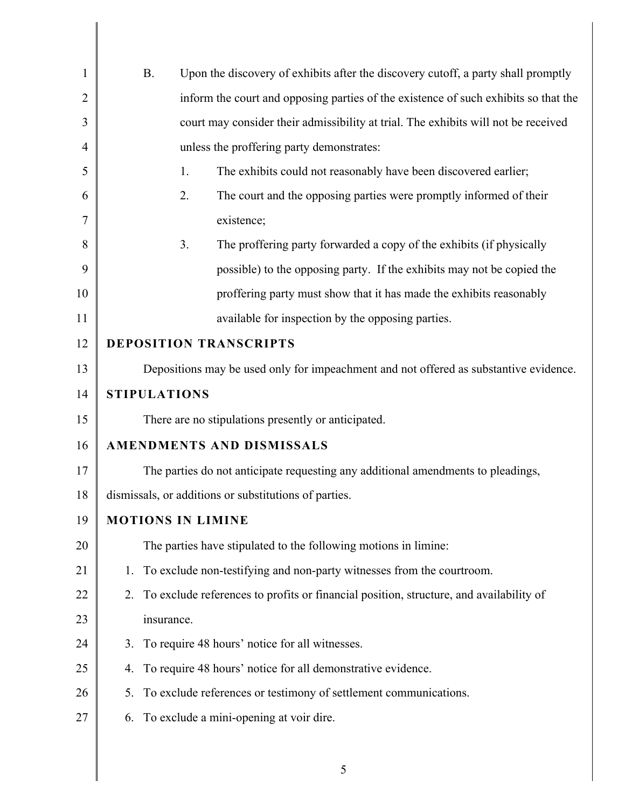| 1              | Upon the discovery of exhibits after the discovery cutoff, a party shall promptly<br><b>B.</b> |  |
|----------------|------------------------------------------------------------------------------------------------|--|
| $\overline{2}$ | inform the court and opposing parties of the existence of such exhibits so that the            |  |
| 3              | court may consider their admissibility at trial. The exhibits will not be received             |  |
| 4              | unless the proffering party demonstrates:                                                      |  |
| 5              | The exhibits could not reasonably have been discovered earlier;<br>1.                          |  |
| 6              | 2.<br>The court and the opposing parties were promptly informed of their                       |  |
| 7              | existence;                                                                                     |  |
| 8              | 3.<br>The proffering party forwarded a copy of the exhibits (if physically                     |  |
| 9              | possible) to the opposing party. If the exhibits may not be copied the                         |  |
| 10             | proffering party must show that it has made the exhibits reasonably                            |  |
| 11             | available for inspection by the opposing parties.                                              |  |
| 12             | <b>DEPOSITION TRANSCRIPTS</b>                                                                  |  |
| 13             | Depositions may be used only for impeachment and not offered as substantive evidence.          |  |
| 14             | <b>STIPULATIONS</b>                                                                            |  |
| 15             | There are no stipulations presently or anticipated.                                            |  |
| 16             | AMENDMENTS AND DISMISSALS                                                                      |  |
| 17             | The parties do not anticipate requesting any additional amendments to pleadings,               |  |
| 18             | dismissals, or additions or substitutions of parties.                                          |  |
| 19             | <b>MOTIONS IN LIMINE</b>                                                                       |  |
| 20             | The parties have stipulated to the following motions in limine:                                |  |
| 21             | 1. To exclude non-testifying and non-party witnesses from the courtroom.                       |  |
| 22             | 2. To exclude references to profits or financial position, structure, and availability of      |  |
| 23             | insurance.                                                                                     |  |
| 24             | 3. To require 48 hours' notice for all witnesses.                                              |  |
| 25             | To require 48 hours' notice for all demonstrative evidence.<br>4.                              |  |
| 26             | 5. To exclude references or testimony of settlement communications.                            |  |
| 27             | 6. To exclude a mini-opening at voir dire.                                                     |  |
|                |                                                                                                |  |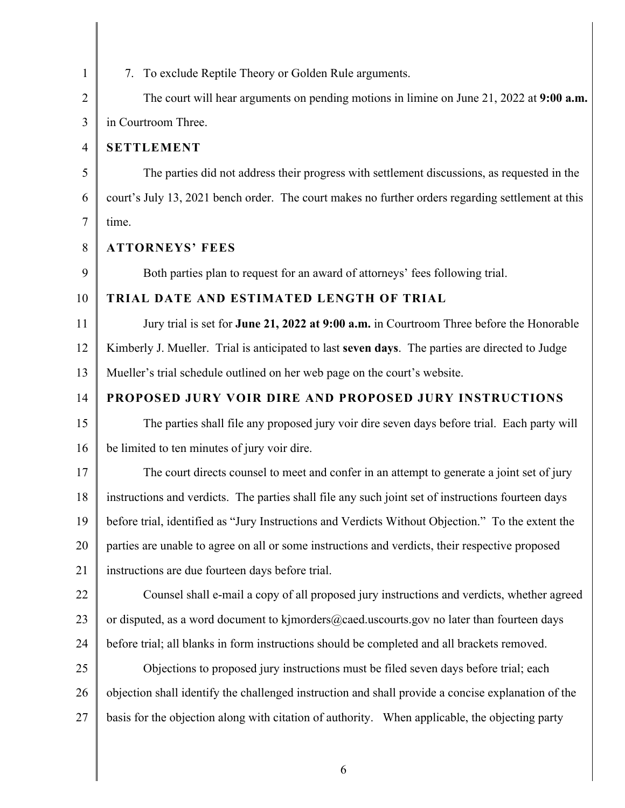| $\mathbf{1}$   | 7. To exclude Reptile Theory or Golden Rule arguments.                                             |
|----------------|----------------------------------------------------------------------------------------------------|
| $\overline{2}$ | The court will hear arguments on pending motions in limine on June 21, 2022 at 9:00 a.m.           |
| 3              | in Courtroom Three.                                                                                |
| 4              | <b>SETTLEMENT</b>                                                                                  |
| 5              | The parties did not address their progress with settlement discussions, as requested in the        |
| 6              | court's July 13, 2021 bench order. The court makes no further orders regarding settlement at this  |
| $\tau$         | time.                                                                                              |
| 8              | <b>ATTORNEYS' FEES</b>                                                                             |
| 9              | Both parties plan to request for an award of attorneys' fees following trial.                      |
| 10             | TRIAL DATE AND ESTIMATED LENGTH OF TRIAL                                                           |
| 11             | Jury trial is set for June 21, 2022 at 9:00 a.m. in Courtroom Three before the Honorable           |
| 12             | Kimberly J. Mueller. Trial is anticipated to last seven days. The parties are directed to Judge    |
| 13             | Mueller's trial schedule outlined on her web page on the court's website.                          |
| 14             | PROPOSED JURY VOIR DIRE AND PROPOSED JURY INSTRUCTIONS                                             |
| 15             | The parties shall file any proposed jury voir dire seven days before trial. Each party will        |
| 16             | be limited to ten minutes of jury voir dire.                                                       |
| 17             | The court directs counsel to meet and confer in an attempt to generate a joint set of jury         |
| 18             | instructions and verdicts. The parties shall file any such joint set of instructions fourteen days |
| 19             | before trial, identified as "Jury Instructions and Verdicts Without Objection." To the extent the  |
| 20             | parties are unable to agree on all or some instructions and verdicts, their respective proposed    |
| 21             | instructions are due fourteen days before trial.                                                   |
| 22             | Counsel shall e-mail a copy of all proposed jury instructions and verdicts, whether agreed         |
| 23             | or disputed, as a word document to kjmorders@caed.uscourts.gov no later than fourteen days         |
| 24             | before trial; all blanks in form instructions should be completed and all brackets removed.        |
| 25             | Objections to proposed jury instructions must be filed seven days before trial; each               |
| 26             | objection shall identify the challenged instruction and shall provide a concise explanation of the |
| 27             | basis for the objection along with citation of authority. When applicable, the objecting party     |
|                |                                                                                                    |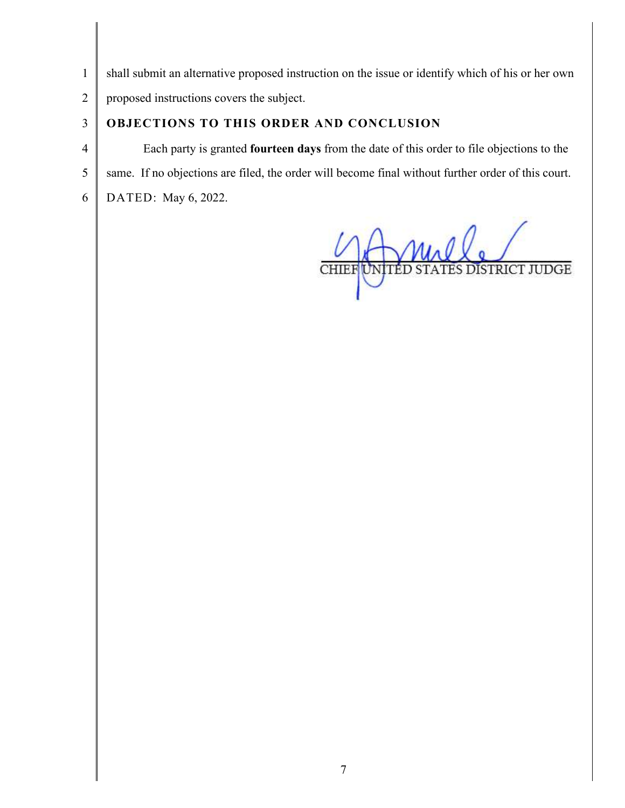1 shall submit an alternative proposed instruction on the issue or identify which of his or her own

2 proposed instructions covers the subject.

## 3 **OBJECTIONS TO THIS ORDER AND CONCLUSION**

4 Each party is granted **fourteen days** from the date of this order to file objections to the 5 same. If no objections are filed, the order will become final without further order of this court. 6 DATED: May 6, 2022.

TES DISTRICT JUDGE CHIEF UNITÉD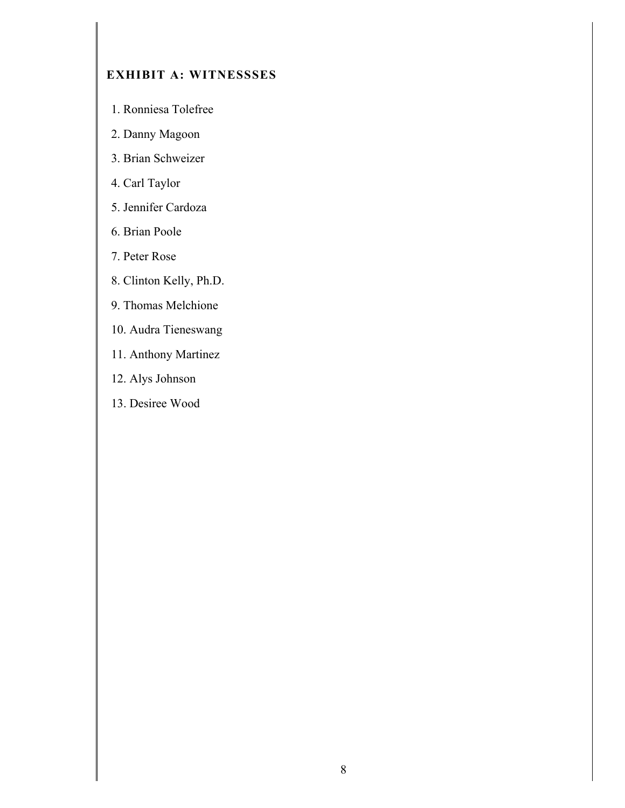## **EXHIBIT A: WITNESSSES**

- 1. Ronniesa Tolefree
- 2. Danny Magoon
- 3. Brian Schweizer
- 4. Carl Taylor
- 5. Jennifer Cardoza
- 6. Brian Poole
- 7. Peter Rose
- 8. Clinton Kelly, Ph.D.
- 9. Thomas Melchione
- 10. Audra Tieneswang
- 11. Anthony Martinez
- 12. Alys Johnson
- 13. Desiree Wood